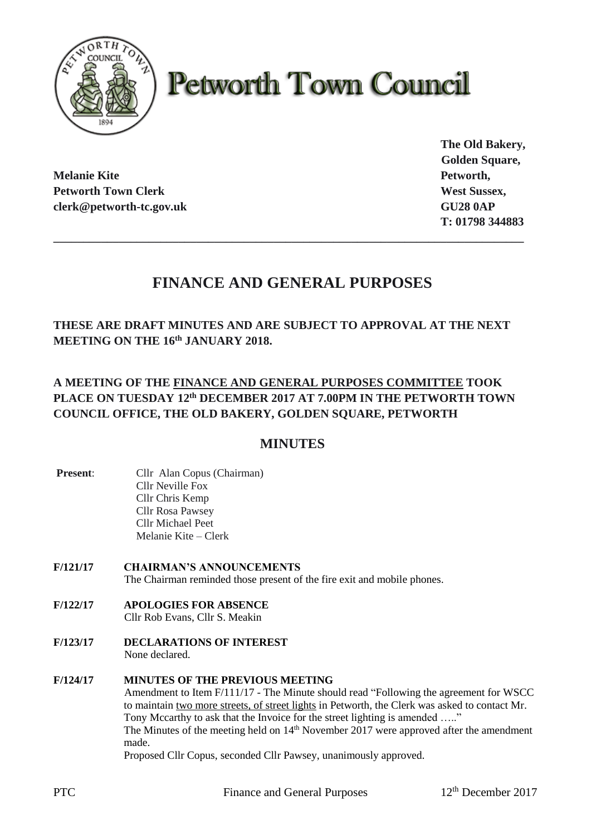

# **Petworth Town Council**

**Melanie Kite Petworth, Petworth Town Clerk West Sussex, West Sussex, West Sussex, West Sussex, West Sussex, West Sussex, West Sussex, West Sussex, West Sussex, West Sussex, West Sussex, West Sussex, West Sussex, West Sussex, West Sussex, West S clerk@petworth-tc.gov.uk GU28 0AP**

**The Old Bakery, Golden Square, T: 01798 344883**

# **FINANCE AND GENERAL PURPOSES**

**\_\_\_\_\_\_\_\_\_\_\_\_\_\_\_\_\_\_\_\_\_\_\_\_\_\_\_\_\_\_\_\_\_\_\_\_\_\_\_\_\_\_\_\_\_\_\_\_\_\_\_\_\_\_\_\_\_\_\_\_\_\_\_\_\_\_\_\_\_\_\_\_\_\_\_\_\_\_\_**

**THESE ARE DRAFT MINUTES AND ARE SUBJECT TO APPROVAL AT THE NEXT MEETING ON THE 16th JANUARY 2018.**

# **A MEETING OF THE FINANCE AND GENERAL PURPOSES COMMITTEE TOOK PLACE ON TUESDAY 12 th DECEMBER 2017 AT 7.00PM IN THE PETWORTH TOWN COUNCIL OFFICE, THE OLD BAKERY, GOLDEN SQUARE, PETWORTH**

# **MINUTES**

- **Present:** Cllr Alan Copus (Chairman) Cllr Neville Fox Cllr Chris Kemp Cllr Rosa Pawsey Cllr Michael Peet Melanie Kite – Clerk
- **F/121/17 CHAIRMAN'S ANNOUNCEMENTS** The Chairman reminded those present of the fire exit and mobile phones.
- **F/122/17 APOLOGIES FOR ABSENCE** Cllr Rob Evans, Cllr S. Meakin
- **F/123/17 DECLARATIONS OF INTEREST** None declared.
- **F/124/17 MINUTES OF THE PREVIOUS MEETING**

Amendment to Item F/111/17 - The Minute should read "Following the agreement for WSCC to maintain two more streets, of street lights in Petworth, the Clerk was asked to contact Mr. Tony Mccarthy to ask that the Invoice for the street lighting is amended ....." The Minutes of the meeting held on  $14<sup>th</sup>$  November 2017 were approved after the amendment made. Proposed Cllr Copus, seconded Cllr Pawsey, unanimously approved.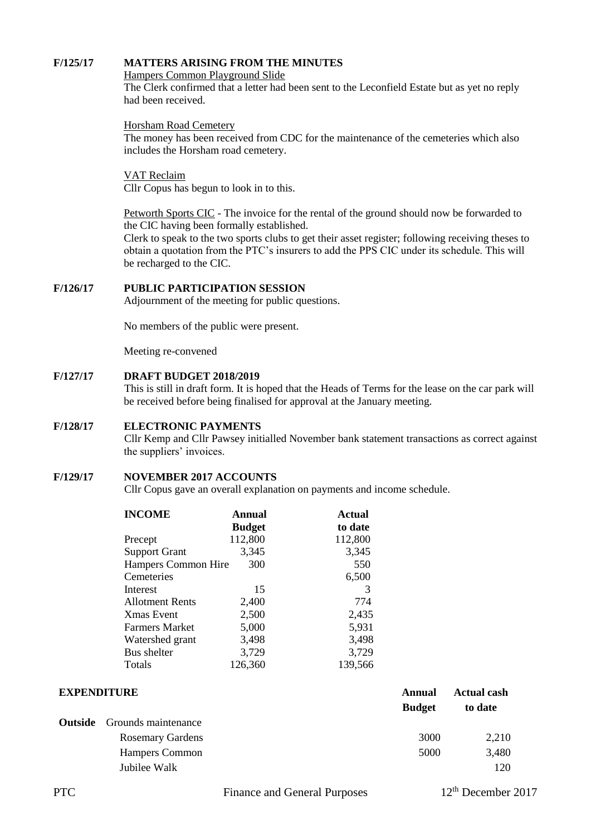#### **F/125/17 MATTERS ARISING FROM THE MINUTES**

Hampers Common Playground Slide

The Clerk confirmed that a letter had been sent to the Leconfield Estate but as yet no reply had been received.

Horsham Road Cemetery

The money has been received from CDC for the maintenance of the cemeteries which also includes the Horsham road cemetery.

VAT Reclaim Cllr Copus has begun to look in to this.

Petworth Sports CIC - The invoice for the rental of the ground should now be forwarded to the CIC having been formally established.

Clerk to speak to the two sports clubs to get their asset register; following receiving theses to obtain a quotation from the PTC's insurers to add the PPS CIC under its schedule. This will be recharged to the CIC.

#### **F/126/17 PUBLIC PARTICIPATION SESSION**

Adjournment of the meeting for public questions.

No members of the public were present.

Meeting re-convened

#### **F/127/17 DRAFT BUDGET 2018/2019**

This is still in draft form. It is hoped that the Heads of Terms for the lease on the car park will be received before being finalised for approval at the January meeting.

#### **F/128/17 ELECTRONIC PAYMENTS**

Cllr Kemp and Cllr Pawsey initialled November bank statement transactions as correct against the suppliers' invoices.

#### **F/129/17 NOVEMBER 2017 ACCOUNTS**

Cllr Copus gave an overall explanation on payments and income schedule.

| <b>INCOME</b>              | <b>Annual</b> | <b>Actual</b> |  |
|----------------------------|---------------|---------------|--|
|                            | <b>Budget</b> | to date       |  |
| Precept                    | 112,800       | 112,800       |  |
| <b>Support Grant</b>       | 3,345         | 3,345         |  |
| <b>Hampers Common Hire</b> | 300           | 550           |  |
| Cemeteries                 |               | 6,500         |  |
| Interest                   | 15            | 3             |  |
| <b>Allotment Rents</b>     | 2,400         | 774           |  |
| Xmas Event                 | 2,500         | 2,435         |  |
| Farmers Market             | 5,000         | 5,931         |  |
| Watershed grant            | 3,498         | 3,498         |  |
| Bus shelter                | 3,729         | 3,729         |  |
| Totals                     | 126,360       | 139,566       |  |

| <b>EXPENDITURE</b> |                                    | Annual        | <b>Actual cash</b> |
|--------------------|------------------------------------|---------------|--------------------|
|                    |                                    | <b>Budget</b> | to date            |
|                    | <b>Outside</b> Grounds maintenance |               |                    |
|                    | <b>Rosemary Gardens</b>            | 3000          | 2,210              |
|                    | <b>Hampers Common</b>              | 5000          | 3,480              |
|                    | Jubilee Walk                       |               | 120                |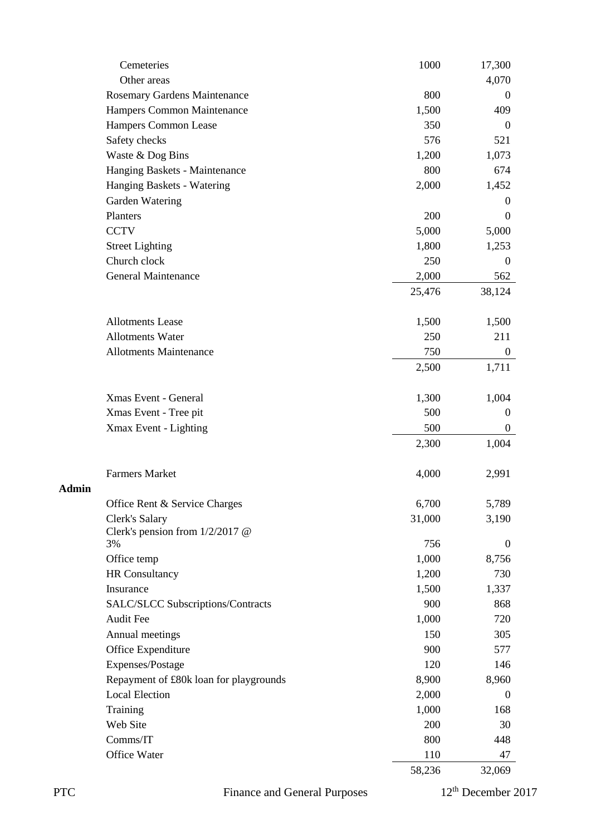|              | Cemeteries                               | 1000   | 17,300           |
|--------------|------------------------------------------|--------|------------------|
|              | Other areas                              |        | 4,070            |
|              | Rosemary Gardens Maintenance             | 800    | $\overline{0}$   |
|              | Hampers Common Maintenance               | 1,500  | 409              |
|              | Hampers Common Lease                     | 350    | $\theta$         |
|              | Safety checks                            | 576    | 521              |
|              | Waste & Dog Bins                         | 1,200  | 1,073            |
|              | Hanging Baskets - Maintenance            | 800    | 674              |
|              | Hanging Baskets - Watering               | 2,000  | 1,452            |
|              | Garden Watering                          |        | $\overline{0}$   |
|              | Planters                                 | 200    | $\theta$         |
|              | <b>CCTV</b>                              | 5,000  | 5,000            |
|              | <b>Street Lighting</b>                   | 1,800  | 1,253            |
|              | Church clock                             | 250    | $\boldsymbol{0}$ |
|              | General Maintenance                      | 2,000  | 562              |
|              |                                          | 25,476 | 38,124           |
|              | <b>Allotments Lease</b>                  | 1,500  | 1,500            |
|              | <b>Allotments Water</b>                  | 250    | 211              |
|              | <b>Allotments Maintenance</b>            | 750    | $\mathbf{0}$     |
|              |                                          | 2,500  | 1,711            |
|              | Xmas Event - General                     | 1,300  | 1,004            |
|              | Xmas Event - Tree pit                    | 500    | $\boldsymbol{0}$ |
|              | Xmax Event - Lighting                    | 500    | $\boldsymbol{0}$ |
|              |                                          | 2,300  | 1,004            |
|              |                                          |        |                  |
|              | <b>Farmers Market</b>                    | 4,000  | 2,991            |
| <b>Admin</b> |                                          |        |                  |
|              | Office Rent & Service Charges            | 6,700  | 5,789            |
|              | Clerk's Salary                           | 31,000 | 3,190            |
|              | Clerk's pension from 1/2/2017 @<br>3%    | 756    | $\mathbf{0}$     |
|              | Office temp                              | 1,000  | 8,756            |
|              | <b>HR</b> Consultancy                    | 1,200  | 730              |
|              | Insurance                                | 1,500  | 1,337            |
|              | <b>SALC/SLCC Subscriptions/Contracts</b> | 900    | 868              |
|              | <b>Audit Fee</b>                         | 1,000  | 720              |
|              | Annual meetings                          | 150    | 305              |
|              | Office Expenditure                       | 900    | 577              |
|              | Expenses/Postage                         | 120    | 146              |
|              | Repayment of £80k loan for playgrounds   | 8,900  | 8,960            |
|              | <b>Local Election</b>                    | 2,000  | $\boldsymbol{0}$ |
|              | Training                                 | 1,000  | 168              |
|              | Web Site                                 | 200    | 30               |
|              | Comms/IT                                 | 800    | 448              |
|              | Office Water                             | 110    | 47               |
|              |                                          | 58,236 | 32,069           |
|              |                                          |        |                  |

PTC Finance and General Purposes 12<sup>th</sup> December 2017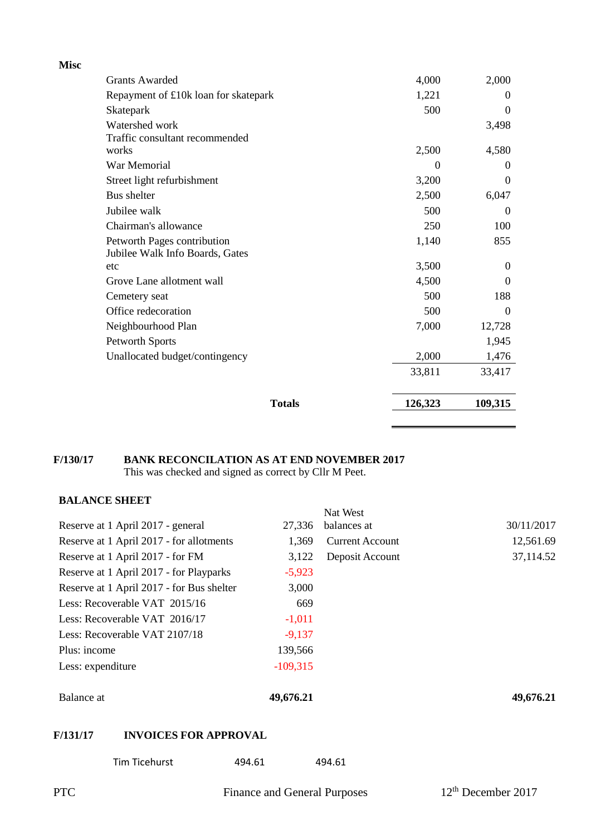| <b>Misc</b> |                                      |          |                  |
|-------------|--------------------------------------|----------|------------------|
|             | <b>Grants Awarded</b>                | 4,000    | 2,000            |
|             | Repayment of £10k loan for skatepark | 1,221    | $\Omega$         |
|             | Skatepark                            | 500      | $\Omega$         |
|             | Watershed work                       |          | 3,498            |
|             | Traffic consultant recommended       |          |                  |
|             | works                                | 2,500    | 4,580            |
|             | War Memorial                         | $\Omega$ | $\theta$         |
|             | Street light refurbishment           | 3,200    | $\theta$         |
|             | Bus shelter                          | 2,500    | 6,047            |
|             | Jubilee walk                         | 500      | $\Omega$         |
|             | Chairman's allowance                 | 250      | 100              |
|             | Petworth Pages contribution          | 1,140    | 855              |
|             | Jubilee Walk Info Boards, Gates      |          |                  |
|             | etc                                  | 3,500    | $\theta$         |
|             | Grove Lane allotment wall            | 4,500    | $\Omega$         |
|             | Cemetery seat                        | 500      | 188              |
|             | Office redecoration                  | 500      | $\boldsymbol{0}$ |
|             | Neighbourhood Plan                   | 7,000    | 12,728           |
|             | Petworth Sports                      |          | 1,945            |
|             | Unallocated budget/contingency       | 2,000    | 1,476            |
|             |                                      | 33,811   | 33,417           |
|             | <b>Totals</b>                        | 126,323  | 109,315          |

# **F/130/17 BANK RECONCILATION AS AT END NOVEMBER 2017**

This was checked and signed as correct by Cllr M Peet.

## **BALANCE SHEET**

|                                           |            | Nat West               |            |
|-------------------------------------------|------------|------------------------|------------|
| Reserve at 1 April 2017 - general         | 27,336     | balances at            | 30/11/2017 |
| Reserve at 1 April 2017 - for allotments  | 1,369      | <b>Current Account</b> | 12,561.69  |
| Reserve at 1 April 2017 - for FM          | 3,122      | Deposit Account        | 37,114.52  |
| Reserve at 1 April 2017 - for Playparks   | $-5,923$   |                        |            |
| Reserve at 1 April 2017 - for Bus shelter | 3,000      |                        |            |
| Less: Recoverable VAT 2015/16             | 669        |                        |            |
| Less: Recoverable VAT 2016/17             | $-1,011$   |                        |            |
| Less: Recoverable VAT 2107/18             | $-9,137$   |                        |            |
| Plus: income                              | 139,566    |                        |            |
| Less: expenditure                         | $-109,315$ |                        |            |
| Balance at                                | 49,676.21  |                        | 49,676.21  |
| <b>INVOICES FOR APPROVAL</b><br>F/131/17  |            |                        |            |
|                                           |            |                        |            |

| Tim Ticehurst | 494.61<br>494.61 |
|---------------|------------------|
|---------------|------------------|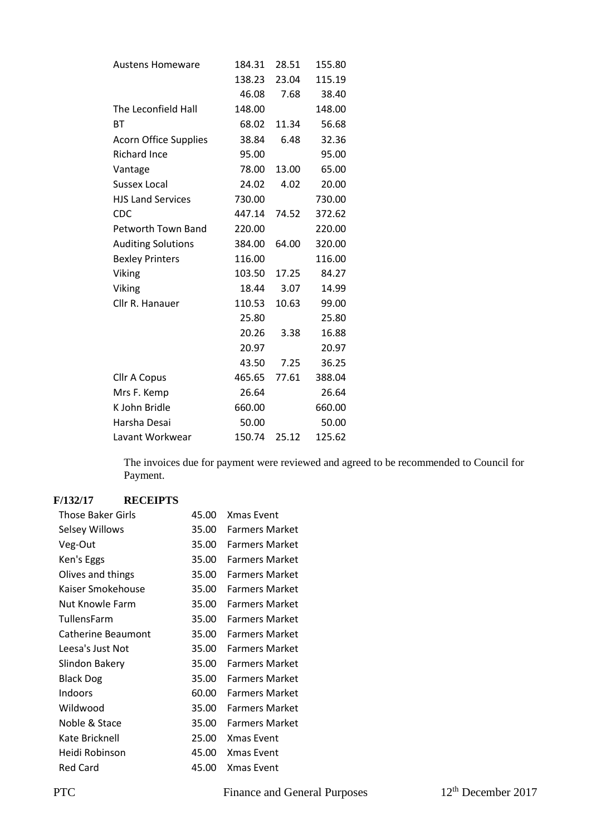|                              |        | 28.51 | 155.80 |
|------------------------------|--------|-------|--------|
| <b>Austens Homeware</b>      | 184.31 |       |        |
|                              | 138.23 | 23.04 | 115.19 |
|                              | 46.08  | 7.68  | 38.40  |
| The Leconfield Hall          | 148.00 |       | 148.00 |
| ВT                           | 68.02  | 11.34 | 56.68  |
| <b>Acorn Office Supplies</b> | 38.84  | 6.48  | 32.36  |
| <b>Richard Ince</b>          | 95.00  |       | 95.00  |
| Vantage                      | 78.00  | 13.00 | 65.00  |
| <b>Sussex Local</b>          | 24.02  | 4.02  | 20.00  |
| <b>HJS Land Services</b>     | 730.00 |       | 730.00 |
| <b>CDC</b>                   | 447.14 | 74.52 | 372.62 |
| Petworth Town Band           | 220.00 |       | 220.00 |
| <b>Auditing Solutions</b>    | 384.00 | 64.00 | 320.00 |
| <b>Bexley Printers</b>       | 116.00 |       | 116.00 |
| Viking                       | 103.50 | 17.25 | 84.27  |
| Viking                       | 18.44  | 3.07  | 14.99  |
| Cllr R. Hanauer              | 110.53 | 10.63 | 99.00  |
|                              | 25.80  |       | 25.80  |
|                              | 20.26  | 3.38  | 16.88  |
|                              | 20.97  |       | 20.97  |
|                              | 43.50  | 7.25  | 36.25  |
| <b>Cllr A Copus</b>          | 465.65 | 77.61 | 388.04 |
| Mrs F. Kemp                  | 26.64  |       | 26.64  |
| K John Bridle                | 660.00 |       | 660.00 |
| Harsha Desai                 | 50.00  |       | 50.00  |
| Lavant Workwear              | 150.74 | 25.12 | 125.62 |

The invoices due for payment were reviewed and agreed to be recommended to Council for Payment.

## **F/132/17 RECEIPTS**

| Those Baker Girls  | 45.00 | <b>Xmas Event</b>     |
|--------------------|-------|-----------------------|
| Selsey Willows     | 35.00 | <b>Farmers Market</b> |
| Veg-Out            | 35.00 | <b>Farmers Market</b> |
| Ken's Eggs         | 35.00 | <b>Farmers Market</b> |
| Olives and things  | 35.00 | <b>Farmers Market</b> |
| Kaiser Smokehouse  | 35.00 | <b>Farmers Market</b> |
| Nut Knowle Farm    | 35.00 | <b>Farmers Market</b> |
| TullensFarm        | 35.00 | <b>Farmers Market</b> |
| Catherine Beaumont | 35.00 | <b>Farmers Market</b> |
| Leesa's Just Not   | 35.00 | <b>Farmers Market</b> |
| Slindon Bakery     | 35.00 | <b>Farmers Market</b> |
| <b>Black Dog</b>   | 35.00 | <b>Farmers Market</b> |
| Indoors            | 60.00 | <b>Farmers Market</b> |
| Wildwood           | 35.00 | <b>Farmers Market</b> |
| Noble & Stace      | 35.00 | <b>Farmers Market</b> |
| Kate Bricknell     | 25.00 | <b>Xmas Event</b>     |
| Heidi Robinson     | 45.00 | Xmas Event            |
| <b>Red Card</b>    | 45.00 | <b>Xmas Event</b>     |